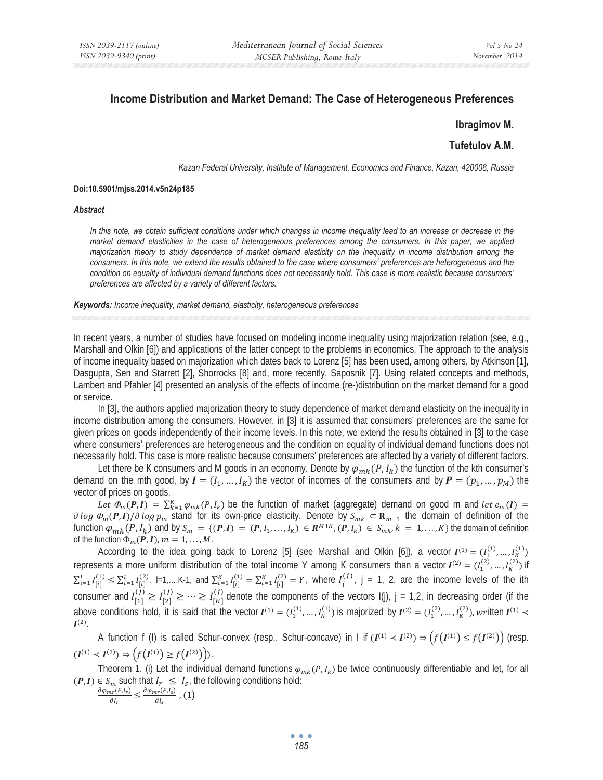# **Income Distribution and Market Demand: The Case of Heterogeneous Preferences**

## **Ibragimov M.**

# **Tufetulov A.M.**

*Kazan Federal University, Institute of Management, Economics and Finance, Kazan, 420008, Russia* 

#### **Doi:10.5901/mjss.2014.v5n24p185**

#### *Abstract*

*In this note, we obtain sufficient conditions under which changes in income inequality lead to an increase or decrease in the market demand elasticities in the case of heterogeneous preferences among the consumers. In this paper, we applied majorization theory to study dependence of market demand elasticity on the inequality in income distribution among the consumers. In this note, we extend the results obtained to the case where consumers' preferences are heterogeneous and the condition on equality of individual demand functions does not necessarily hold. This case is more realistic because consumers' preferences are affected by a variety of different factors.* 

*Keywords: Income inequality, market demand, elasticity, heterogeneous preferences* 

In recent years, a number of studies have focused on modeling income inequality using majorization relation (see, e.g., Marshall and Olkin [6]) and applications of the latter concept to the problems in economics. The approach to the analysis of income inequality based on majorization which dates back to Lorenz [5] has been used, among others, by Atkinson [1], Dasgupta, Sen and Starrett [2], Shorrocks [8] and, more recently, Saposnik [7]. Using related concepts and methods, Lambert and Pfahler [4] presented an analysis of the effects of income (re-)distribution on the market demand for a good or service.

In [3], the authors applied majorization theory to study dependence of market demand elasticity on the inequality in income distribution among the consumers. However, in [3] it is assumed that consumers' preferences are the same for given prices on goods independently of their income levels. In this note, we extend the results obtained in [3] to the case where consumers' preferences are heterogeneous and the condition on equality of individual demand functions does not necessarily hold. This case is more realistic because consumers' preferences are affected by a variety of different factors.

Let there be K consumers and M goods in an economy. Denote by  $\varphi_{mk}(P,I_k)$  the function of the kth consumer's demand on the mth good, by  $I = (I_1, ..., I_K)$  the vector of incomes of the consumers and by  $P = (p_1, ..., p_M)$  the vector of prices on goods.

Let  $\Phi_m(P,I) = \sum_{k=1}^K \varphi_{mk}(P,I_k)$  be the function of market (aggregate) demand on good m and let  $e_m(I)$  $\partial \log \Phi_m(P, I)/\partial \log p_m$  stand for its own-price elasticity. Denote by  $S_{mk} \subset \mathbf{R}_{m+1}$  the domain of definition of the function  $\varphi_{mk}(P,I_k)$  and by  $S_m = \{ (P,I) = (P,I_1,\ldots,I_K) \in \mathbb{R}^{M+K}, (P,I_k) \in S_{mk}, k = 1,\ldots,K \}$  the domain of definition of the function  $\Phi_m(P, I)$ ,  $m = 1, ..., M$ .

According to the idea going back to Lorenz [5] (see Marshall and Olkin [6]), a vector  $I^{(1)} = (I_1^{(1)},...,I_K^{(1)})$ represents a more uniform distribution of the total income Y among K consumers than a vector  $I^{(2)} = (I_1^{(2)},...,I_K^{(2)})$  if  $\sum_{i=1}^{l} I_{[i]}^{(1)} \leq \sum_{i=1}^{l} I_{[i]}^{(2)}$ ,  $=1,...,K-1$ , and  $\sum_{i=1}^{K} I_{[i]}^{(1)} = \sum_{i=1}^{K} I_{[i]}^{(2)} = Y$ , where  $I_i^{(j)}$ , j = 1, 2, are the income levels of the ith consumer and  $I_{[1]}^{(j)} \geq I_{[2]}^{(j)} \geq \cdots \geq I_{[K]}^{(j)}$  denote the components of the vectors  $I(j)$ , j = 1,2, in decreasing order (if the above conditions hold, it is said that the vector  $I^{(1)} = (I_1^{(1)},...,I_K^{(1)})$  is majorized by  $I^{(2)} = (I_1^{(2)},...,I_K^{(2)})$ , written  $I^{(1)}$  $I^{(2)}$ .

A function f (I) is called Schur-convex (resp., Schur-concave) in I if  $(I^{(1)} \lt I^{(2)}) \Rightarrow (f(I^{(1)}) \leq f(I^{(2)}))$  (resp.  $(I^{(1)} \lt I^{(2)}) \Rightarrow (f(I^{(1)}) \geq f(I^{(2)})).$ 

Theorem 1. (i) Let the individual demand functions  $\varphi_{mk}(P,I_k)$  be twice continuously differentiable and let, for all  $(P, I) \in S_m$  such that  $I_r \leq I_{S}$ , the following conditions hold:<br>  $\partial \varphi_{mr}(P, I_r) = \partial \varphi_{mr}(P, I_S)$ 

 $\frac{d_{nr}(P,I_r)}{\partial I_r} \leq \frac{\partial \varphi_{mr}(P,I_s)}{\partial I_s}$ , (1)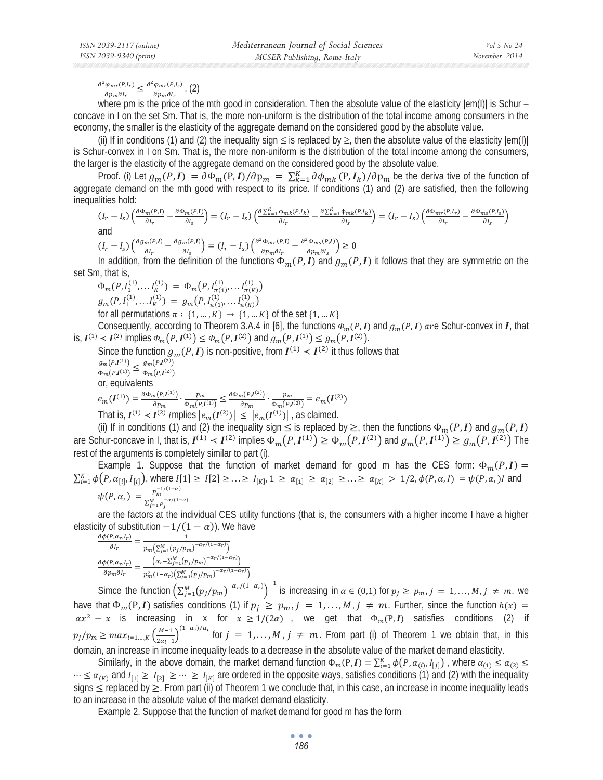#### $\partial^2 \varphi_{mr}(P,I_r)$  $\frac{\varphi_{mr}(P,I_r)}{\partial p_m \partial I_r} \leq \frac{\partial^2 \varphi_{mr}(P,I_s)}{\partial p_m \partial I_s}$ , (2)

where pm is the price of the mth good in consideration. Then the absolute value of the elasticity  $|em(1)|$  is Schur – concave in I on the set Sm. That is, the more non-uniform is the distribution of the total income among consumers in the economy, the smaller is the elasticity of the aggregate demand on the considered good by the absolute value.

(ii) If in conditions (1) and (2) the inequality sign  $\leq$  is replaced by  $\geq$ , then the absolute value of the elasticity  $|em(1)|$ is Schur-convex in I on Sm. That is, the more non-uniform is the distribution of the total income among the consumers, the larger is the elasticity of the aggregate demand on the considered good by the absolute value.

Proof. (i) Let  $g_m(P, I) = \partial \Phi_m(P, I)/\partial p_m = \sum_{k=1}^K \partial \phi_{mk}(P, I_k)/\partial p_m$  be the deriva tive of the function of aggregate demand on the mth good with respect to its price. If conditions (1) and (2) are satisfied, then the following inequalities hold:

$$
(I_r - I_s) \left(\frac{\partial \Phi_m(P,I)}{\partial I_r} - \frac{\partial \Phi_m(P,I)}{\partial I_s}\right) = (I_r - I_s) \left(\frac{\partial \sum_{k=1}^K \Phi_{mk}(P,I_k)}{\partial I_r} - \frac{\partial \sum_{k=1}^K \Phi_{mk}(P,I_k)}{\partial I_s}\right) = (I_r - I_s) \left(\frac{\partial \Phi_{mr}(P,I_r)}{\partial I_r} - \frac{\partial \Phi_{ms}(P,I_s)}{\partial I_s}\right)
$$
 and

$$
(I_r - I_s) \left( \frac{\partial g_m(p,I)}{\partial I_r} - \frac{\partial g_m(p,I)}{\partial I_s} \right) = (I_r - I_s) \left( \frac{\partial^2 \Phi_{mr}(p,I)}{\partial p_m \partial I_r} - \frac{\partial^2 \Phi_{ms}(p,I)}{\partial p_m \partial I_s} \right) \ge 0
$$

In addition, from the definition of the functions  $\Phi_m(P, I)$  and  $g_m(P, I)$  it follows that they are symmetric on the set Sm, that is,

$$
\Phi_m(P, I_1^{(1)}, \dots I_K^{(1)}) = \Phi_m(P, I_{\pi(1)}^{(1)}, \dots I_{K}^{(1)})
$$
\n
$$
g_m(P, I_1^{(1)}, \dots I_K^{(1)}) = g_m(P, I_{\pi(1)}^{(1)}, \dots I_{\pi(K)}^{(1)})
$$
\nfor all permutations  $\pi : \{1, \dots, K\} \to \{1, \dots K\}$  of the set  $\{1, \dots K\}$ .\nConsequently, according to Theorem 3.4.4 in [6] the functions  $\Phi$ 

Consequently, according to Theorem 3.A.4 in [6], the functions  $\Phi_m(P, I)$  and  $g_m(P, I)$  are Schur-convex in  $I$ , that is,  $I^{(1)} \lt I^{(2)}$  implies  $\Phi_m(P, I^{(1)}) \leq \Phi_m(P, I^{(2)})$  and  $g_m(P, I^{(1)}) \leq g_m(P, I^{(2)})$ .

Since the function  $g_m(P, I)$  is non-positive, from  $I^{(1)} \lt I^{(2)}$  it thus follows that  $\frac{g_m(P,I^{(1)})}{\Phi_m(P,I^{(1)})} \leq \frac{g_m(P,I^{(2)})}{\Phi_m(P,I^{(2)})}$  $\frac{g_m(F,I^{(2)})}{\Phi_m(P,I^{(2)})}$ or, equivalents  $e_m(I^{(1)}) = \frac{\partial \Phi_m(P, I^{(1)})}{\partial p_m} \cdot \frac{p_m}{\Phi_m(P, I^{(1)})} \leq \frac{\partial \Phi_m(P, I^{(2)})}{\partial p_m}$  $\frac{p_m(P,I^{(2)})}{\phi_{m}(P,I^{(2)})} = e_m(I^{(2)})$ That is,  $I^{(1)} < I^{(2)}$  implies  $|e_m(I^{(2)})| \leq |e_m(I^{(1)})|$ , as claimed.

(ii) If in conditions (1) and (2) the inequality sign  $\leq$  is replaced by  $\geq$ , then the functions  $\Phi_m(P, I)$  and  $g_m(P, I)$ are Schur-concave in I, that is,  $I^{(1)} \lt I^{(2)}$  implies  $\Phi_m(P, I^{(1)}) \ge \Phi_m(P, I^{(2)})$  and  $g_m(P, I^{(1)}) \ge g_m(P, I^{(2)})$  The rest of the arguments is completely similar to part (i).

Example 1. Suppose that the function of market demand for good m has the CES form:  $\Phi_m(P, I)$  =  $\sum_{i=1}^K \phi(P, \alpha_{[i]}, I_{[i]})$ , where  $I[1] \geq I[2] \geq \ldots \geq I_{[K]}$ ,  $1 \geq \alpha_{[1]} \geq \alpha_{[2]} \geq \ldots \geq \alpha_{[K]} > 1/2$ ,  $\phi(P, \alpha, I) = \psi(P, \alpha)$ , and  $\psi(P, \alpha) = \frac{p_m^{-1/(1-\alpha)}}{2M}$  $\sum_{j=1}^{M} p_j^{-\alpha/(1-\alpha)}$ 

are the factors at the individual CES utility functions (that is, the consumers with a higher income I have a higher elasticity of substitution  $-1/(1 - \alpha)$ ). We have

$$
\frac{\partial \phi(P, \alpha_r, I_r)}{\partial I_r} = \frac{1}{p_m \left(\sum_{j=1}^M (p_j/p_m)^{-\alpha_r/(1-\alpha_r)}\right)}
$$

$$
\frac{\partial \phi(P, \alpha_r, I_r)}{\partial p_m \partial I_r} = \frac{\left(\alpha_r - \sum_{j=1}^M (p_j/p_m)^{-\alpha_r/(1-\alpha_r)}\right)}{p_m^2 (1-\alpha_r) \left(\sum_{j=1}^M (p_j/p_m)^{-\alpha_r/(1-\alpha_r)}\right)}
$$

Simce the function  $\left(\sum_{j=1}^M (p_j/p_m)^{-\alpha_r/(1-\alpha_r)}\right)^{-1}$  is increasing in  $\alpha \in (0,1)$  for  $p_j \geq p_{m,j} = 1,\ldots,M, j \neq m$ , we have that  $\Phi_m(P, I)$  satisfies conditions (1) if  $p_i \geq p_{m_i}, j = 1, ..., M, j \neq m$ . Further, since the function  $h(x) =$  $\alpha x^2 - x$  is increasing in x for  $x \ge 1/(2\alpha)$ , we get that  $\Phi_m(P, I)$  satisfies conditions (2) if  $p_j/p_m \geq max_{i=1,\dots,K} \left(\frac{M-1}{2\alpha_i-1}\right)^{(1-\alpha_i)/\alpha_i}$  for  $j = 1,\dots,M$ ,  $j \neq m$ . From part (i) of Theorem 1 we obtain that, in this domain, an increase in income inequality leads to a decrease in the absolute value of the market demand elasticity.

Similarly, in the above domain, the market demand function  $\Phi_m(P, I) = \sum_{i=1}^K \phi(P, \alpha_{(i)}, I_{[j]})$ , where  $\alpha_{(1)} \le \alpha_{(2)} \le \alpha_{(3)}$  $\cdots \leq \alpha_{(K)}$  and  $I_{[1]} \geq I_{[2]} \geq \cdots \geq I_{[K]}$  are ordered in the opposite ways, satisfies conditions (1) and (2) with the inequality signs  $\le$  replaced by  $\ge$ . From part (ii) of Theorem 1 we conclude that, in this case, an increase in income inequality leads to an increase in the absolute value of the market demand elasticity.

Example 2. Suppose that the function of market demand for good m has the form